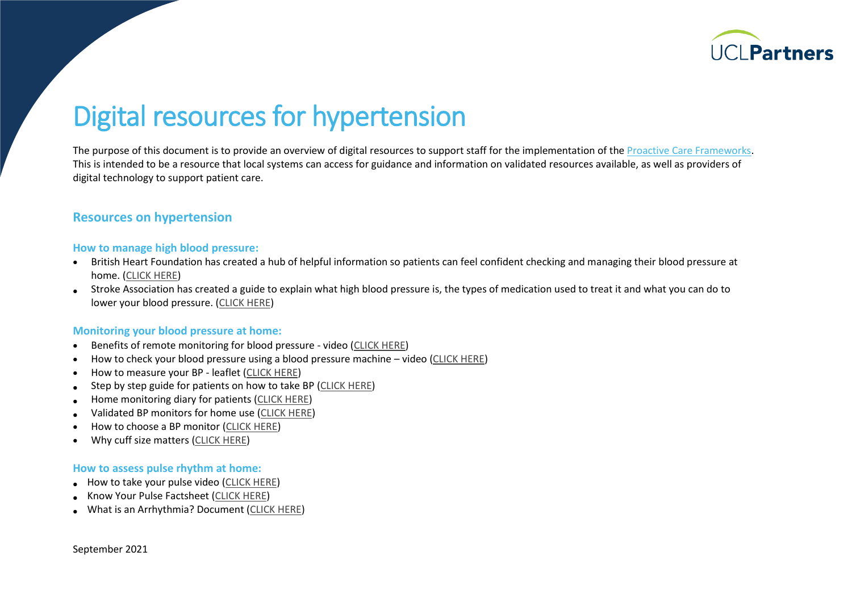

# Digital resources for hypertension

The purpose of this document is to provide an overview of digital resources to support staff for the implementation of th[e Proactive Care Frameworks.](https://uclpartners.com/proactive-care/) This is intended to be a resource that local systems can access for guidance and information on validated resources available, as well as providers of digital technology to support patient care.

### **Resources on hypertension**

#### **How to manage high blood pressure:**

- British Heart Foundation has created a hub of helpful information so patients can feel confident checking and managing their blood pressure at home. [\(CLICK HERE\)](http://www.bhf.org.uk/bloodpressureathome)
- Stroke Association has created a guide to explain what high blood pressure is, the types of medication used to treat it and what you can do to lower your blood pressure. [\(CLICK HERE\)](https://www.stroke.org.uk/what-is-stroke/are-you-at-risk-of-stroke/high-blood-pressure)

#### **Monitoring your blood pressure at home:**

- Benefits of remote monitoring for blood pressure video [\(CLICK HERE\)](https://www.youtube.com/watch?v=edKbuoZPNyg)
- How to check your blood pressure using a blood pressure machine video [\(CLICK HERE\)](http://www.bhf.org.uk/informationsupport/heart-matters-magazine/medical/tests/blood-pressure-measuring-at-home)
- How to measure your BP leaflet [\(CLICK HERE\)](https://bihsoc.org/wp-content/uploads/2017/11/BP-Measurement-Poster-Automated-2017.pdf)
- Step by step guide for patients on how to take BP [\(CLICK HERE\)](https://bihsoc.org/wp-content/uploads/2017/09/How_to_instructional_leaflet.pdf)
- Home monitoring diary for patients [\(CLICK HERE\)](https://bihsoc.org/wp-content/uploads/2017/09/Home_blood_pressure_diary.pdf)
- Validated BP monitors for home use [\(CLICK HERE\)](https://bihsoc.org/bp-monitors/for-home-use/)
- How to choose a BP monitor [\(CLICK HERE\)](http://www.bloodpressureuk.org/BloodPressureandyou/Homemonitoring/Choosingyourmonitor)
- Why cuff size matters [\(CLICK HERE\)](https://eshop.bpassoc-shop.org.uk/epages/BT3770.mobile/en_GB/?ObjectPath=/Shops/BT3770/Categories/Blood_Pressure_monitors1/Why_cuff_size_matters)

#### **How to assess pulse rhythm at home:**

- How to take your pulse video [\(CLICK HERE\)](http://www.bhf.org.uk/informationsupport/tests/checking-your-pulse)
- Know Your Pulse Factsheet [\(CLICK HERE\)](http://www.heartrhythmalliance.org/resources/view/389/pdf)
- What is an Arrhythmia? Document [\(CLICK HERE\)](http://heartrhythmalliance.org/resources/view/522/pdf)

September 2021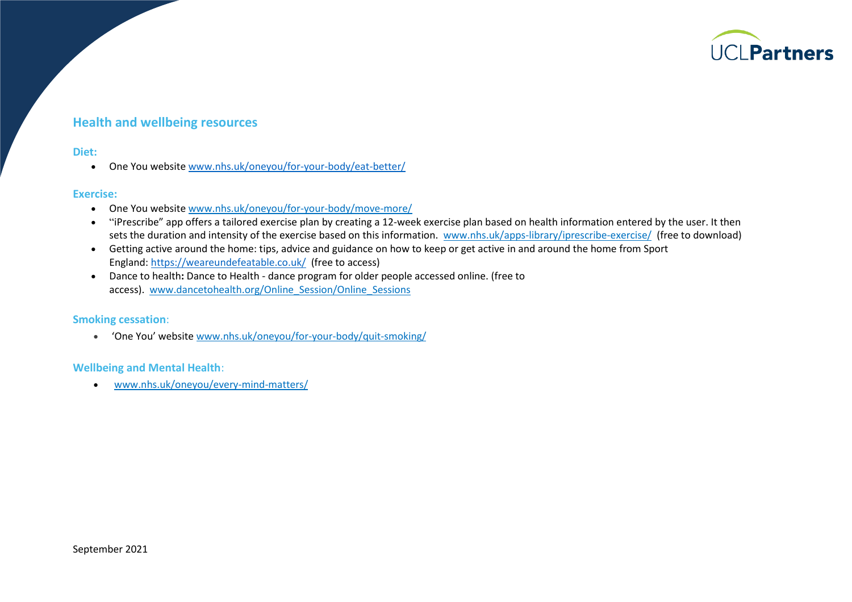

## **Health and wellbeing resources**

#### **Diet:**

• One You website [www.nhs.uk/oneyou/for-your-body/eat-better/](https://www.nhs.uk/oneyou/for-your-body/eat-better/)

#### **Exercise:**

- One You website [www.nhs.uk/oneyou/for-your-body/move-more/](http://www.nhs.uk/oneyou/for-your-body/move-more/)
- "iPrescribe" app offers a tailored exercise plan by creating a 12-week exercise plan based on health information entered by the user. It then sets the duration and intensity of the exercise based on this information. [www.nhs.uk/apps-library/iprescribe-exercise/](http://www.nhs.uk/apps-library/iprescribe-exercise/) (free to download)
- Getting active around the home: tips, advice and guidance on how to keep or get active in and around the home from Sport England: <https://weareundefeatable.co.uk/> (free to access)
- Dance to health**:** Dance to Health dance program for older people accessed online. (free to access). [www.dancetohealth.org/Online\\_Session/Online\\_Sessions](http://www.dancetohealth.org/Online_Session/Online_Sessions)

#### **Smoking cessation**:

• 'One You' website [www.nhs.uk/oneyou/for-your-body/quit-smoking/](https://www.nhs.uk/oneyou/for-your-body/quit-smoking/)

#### **Wellbeing and Mental Health**:

• [www.nhs.uk/oneyou/every-mind-matters/](https://www.nhs.uk/oneyou/every-mind-matters/)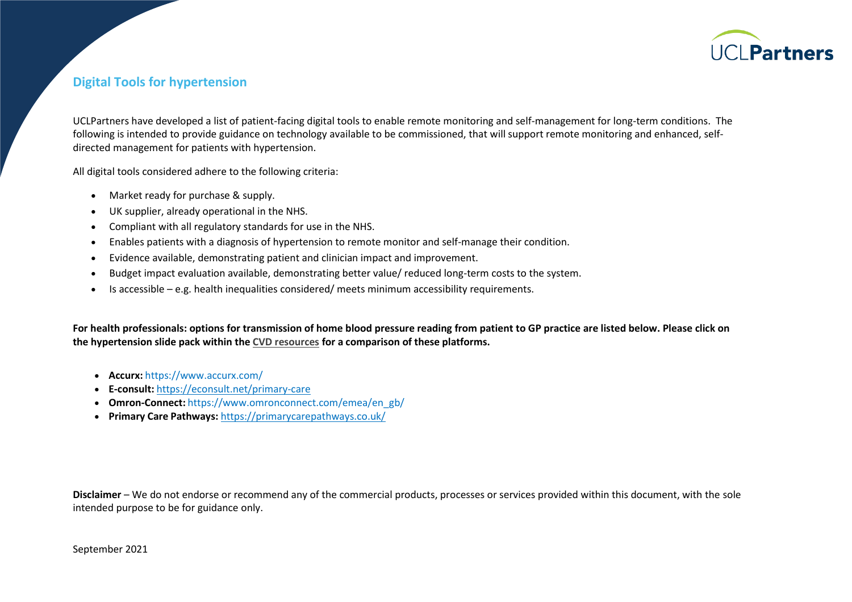

## **Digital Tools for hypertension**

UCLPartners have developed a list of patient-facing digital tools to enable remote monitoring and self-management for long-term conditions. The following is intended to provide guidance on technology available to be commissioned, that will support remote monitoring and enhanced, selfdirected management for patients with hypertension.

All digital tools considered adhere to the following criteria:

- Market ready for purchase & supply.
- UK supplier, already operational in the NHS.
- Compliant with all regulatory standards for use in the NHS.
- Enables patients with a diagnosis of hypertension to remote monitor and self-manage their condition.
- Evidence available, demonstrating patient and clinician impact and improvement.
- Budget impact evaluation available, demonstrating better value/ reduced long-term costs to the system.
- Is accessible e.g. health inequalities considered/ meets minimum accessibility requirements.

**For health professionals: options for transmission of home blood pressure reading from patient to GP practice are listed below. Please click on the hypertension slide pack within th[e CVD resources](https://uclpartners.com/proactive-care/cvd-resources/) for a comparison of these platforms.**

- **Accurx:** https:/[/www.accurx.com/](http://www.accurx.com/)
- **E-consult:** <https://econsult.net/primary-care>
- **Omron-Connect:** https:/[/www.omronconnect.com/emea/en\\_gb/](http://www.omronconnect.com/emea/en_gb/)
- **Primary Care Pathways:** <https://primarycarepathways.co.uk/>

**Disclaimer** – We do not endorse or recommend any of the commercial products, processes or services provided within this document, with the sole intended purpose to be for guidance only.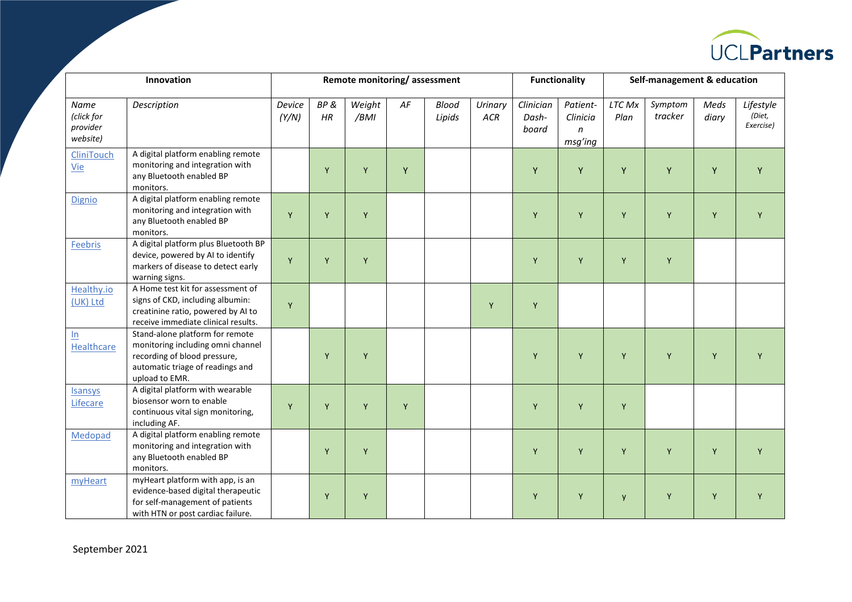

| Innovation                                 |                                                                                                                                                            | Remote monitoring/assessment |           |                |    |                        |                       | <b>Functionality</b>        |                                                 | Self-management & education |                    |               |                                  |
|--------------------------------------------|------------------------------------------------------------------------------------------------------------------------------------------------------------|------------------------------|-----------|----------------|----|------------------------|-----------------------|-----------------------------|-------------------------------------------------|-----------------------------|--------------------|---------------|----------------------------------|
| Name<br>(click for<br>provider<br>website) | Description                                                                                                                                                | Device<br>(Y/N)              | BP&<br>HR | Weight<br>/BMI | AF | <b>Blood</b><br>Lipids | Urinary<br><b>ACR</b> | Clinician<br>Dash-<br>board | Patient-<br>Clinicia<br>$\mathsf{n}$<br>msg'ing | <b>LTC Mx</b><br>Plan       | Symptom<br>tracker | Meds<br>diary | Lifestyle<br>(Diet,<br>Exercise) |
| CliniTouch<br>Vie                          | A digital platform enabling remote<br>monitoring and integration with<br>any Bluetooth enabled BP<br>monitors.                                             |                              | Y         | Y              | Y  |                        |                       | Y                           | Y                                               | Y                           | Y                  | Y             | Y                                |
| Dignio                                     | A digital platform enabling remote<br>monitoring and integration with<br>any Bluetooth enabled BP<br>monitors.                                             | Y                            | Y         | Y              |    |                        |                       | Y                           | Y                                               | Y                           | Y                  | Y             | Y                                |
| Feebris                                    | A digital platform plus Bluetooth BP<br>device, powered by AI to identify<br>markers of disease to detect early<br>warning signs.                          | Y                            | Y         | Y              |    |                        |                       | Y                           | Y                                               | Y                           | Y                  |               |                                  |
| Healthy.io<br>(UK) Ltd                     | A Home test kit for assessment of<br>signs of CKD, including albumin:<br>creatinine ratio, powered by AI to<br>receive immediate clinical results.         | Y                            |           |                |    |                        | Y                     | Y                           |                                                 |                             |                    |               |                                  |
| ln<br>Healthcare                           | Stand-alone platform for remote<br>monitoring including omni channel<br>recording of blood pressure,<br>automatic triage of readings and<br>upload to EMR. |                              | Y         | Y              |    |                        |                       | Y                           | Y                                               | Y                           | Y                  | Y             |                                  |
| <b>Isansys</b><br>Lifecare                 | A digital platform with wearable<br>biosensor worn to enable<br>continuous vital sign monitoring,<br>including AF.                                         | Y                            | Y         | Y              | Y  |                        |                       | Y                           | Y                                               | Y                           |                    |               |                                  |
| Medopad                                    | A digital platform enabling remote<br>monitoring and integration with<br>any Bluetooth enabled BP<br>monitors.                                             |                              | Y         | Y              |    |                        |                       | Y                           | Y                                               | Y                           | Y                  | Y             | Y                                |
| myHeart                                    | myHeart platform with app, is an<br>evidence-based digital therapeutic<br>for self-management of patients<br>with HTN or post cardiac failure.             |                              | Y         | Y              |    |                        |                       | Y                           | Y                                               | y                           | Y                  | Y             | Y                                |